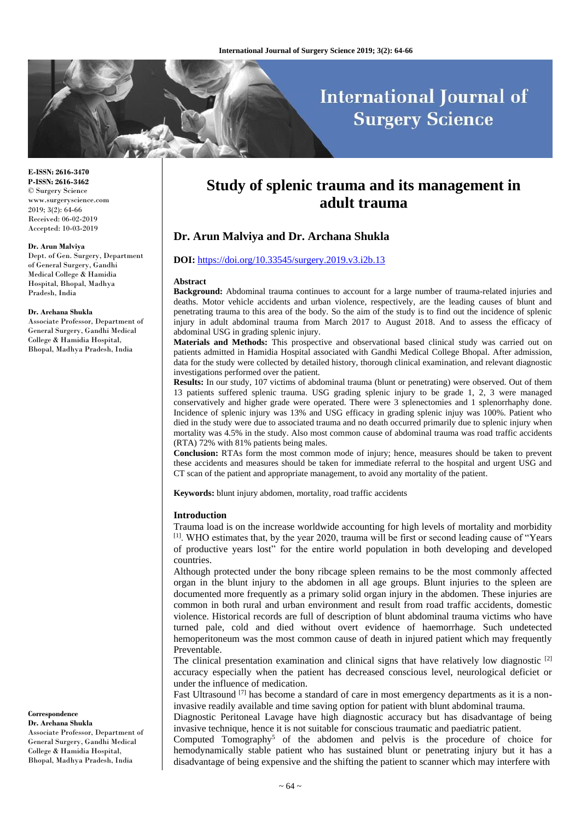# **International Journal of Surgery Science**

#### **E-ISSN: 2616-3470 P-ISSN: 2616-3462** © Surgery Science www.surgeryscience.com

2019; 3(2): 64-66 Received: 06-02-2019 Accepted: 10-03-2019

#### **Dr. Arun Malviya**

Dept. of Gen. Surgery, Department of General Surgery, Gandhi Medical College & Hamidia Hospital, Bhopal, Madhya Pradesh, India

#### **Dr. Archana Shukla**

Associate Professor, Department of General Surgery, Gandhi Medical College & Hamidia Hospital, Bhopal, Madhya Pradesh, India

## **Correspondence**

**Dr. Archana Shukla** Associate Professor, Department of General Surgery, Gandhi Medical College & Hamidia Hospital, Bhopal, Madhya Pradesh, India

## **Study of splenic trauma and its management in adult trauma**

## **Dr. Arun Malviya and Dr. Archana Shukla**

#### **DOI:** <https://doi.org/10.33545/surgery.2019.v3.i2b.13>

#### **Abstract**

**Background:** Abdominal trauma continues to account for a large number of trauma-related injuries and deaths. Motor vehicle accidents and urban violence, respectively, are the leading causes of blunt and penetrating trauma to this area of the body. So the aim of the study is to find out the incidence of splenic injury in adult abdominal trauma from March 2017 to August 2018. And to assess the efficacy of abdominal USG in grading splenic injury.

**Materials and Methods:** This prospective and observational based clinical study was carried out on patients admitted in Hamidia Hospital associated with Gandhi Medical College Bhopal. After admission, data for the study were collected by detailed history, thorough clinical examination, and relevant diagnostic investigations performed over the patient.

**Results:** In our study, 107 victims of abdominal trauma (blunt or penetrating) were observed. Out of them 13 patients suffered splenic trauma. USG grading splenic injury to be grade 1, 2, 3 were managed conservatively and higher grade were operated. There were 3 splenectomies and 1 splenorrhaphy done. Incidence of splenic injury was 13% and USG efficacy in grading splenic injuy was 100%. Patient who died in the study were due to associated trauma and no death occurred primarily due to splenic injury when mortality was 4.5% in the study. Also most common cause of abdominal trauma was road traffic accidents (RTA) 72% with 81% patients being males.

**Conclusion:** RTAs form the most common mode of injury; hence, measures should be taken to prevent these accidents and measures should be taken for immediate referral to the hospital and urgent USG and CT scan of the patient and appropriate management, to avoid any mortality of the patient.

**Keywords:** blunt injury abdomen, mortality, road traffic accidents

#### **Introduction**

Trauma load is on the increase worldwide accounting for high levels of mortality and morbidity [1] . WHO estimates that, by the year 2020, trauma will be first or second leading cause of "Years of productive years lost" for the entire world population in both developing and developed countries.

Although protected under the bony ribcage spleen remains to be the most commonly affected organ in the blunt injury to the abdomen in all age groups. Blunt injuries to the spleen are documented more frequently as a primary solid organ injury in the abdomen. These injuries are common in both rural and urban environment and result from road traffic accidents, domestic violence. Historical records are full of description of blunt abdominal trauma victims who have turned pale, cold and died without overt evidence of haemorrhage. Such undetected hemoperitoneum was the most common cause of death in injured patient which may frequently Preventable.

The clinical presentation examination and clinical signs that have relatively low diagnostic  $[2]$ accuracy especially when the patient has decreased conscious level, neurological deficiet or under the influence of medication.

Fast Ultrasound  $^{[7]}$  has become a standard of care in most emergency departments as it is a noninvasive readily available and time saving option for patient with blunt abdominal trauma.

Diagnostic Peritoneal Lavage have high diagnostic accuracy but has disadvantage of being invasive technique, hence it is not suitable for conscious traumatic and paediatric patient.

Computed Tomography<sup>5</sup> of the abdomen and pelvis is the procedure of choice for hemodynamically stable patient who has sustained blunt or penetrating injury but it has a disadvantage of being expensive and the shifting the patient to scanner which may interfere with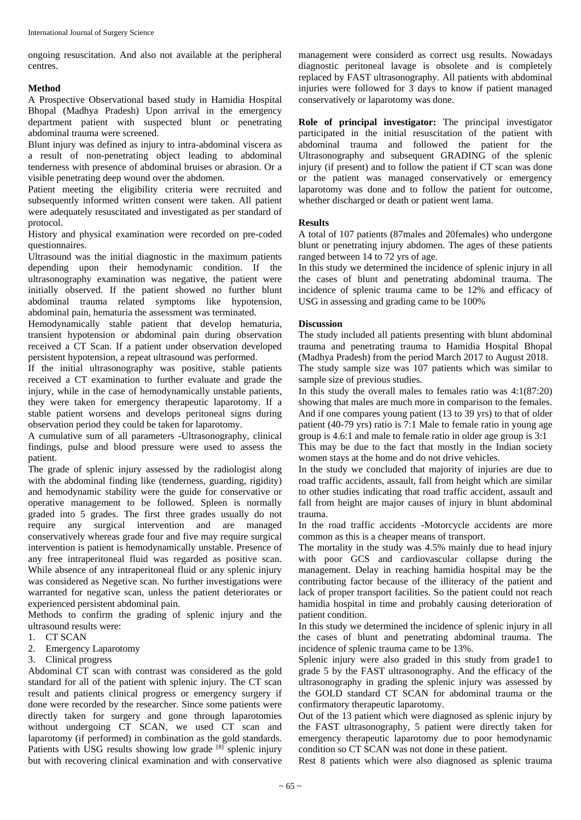ongoing resuscitation. And also not available at the peripheral centres.

## **Method**

A Prospective Observational based study in Hamidia Hospital Bhopal (Madhya Pradesh) Upon arrival in the emergency department patient with suspected blunt or penetrating abdominal trauma were screened.

Blunt injury was defined as injury to intra-abdominal viscera as a result of non-penetrating object leading to abdominal tenderness with presence of abdominal bruises or abrasion. Or a visible penetrating deep wound over the abdomen.

Patient meeting the eligibility criteria were recruited and subsequently informed written consent were taken. All patient were adequately resuscitated and investigated as per standard of protocol.

History and physical examination were recorded on pre-coded questionnaires.

Ultrasound was the initial diagnostic in the maximum patients depending upon their hemodynamic condition. If the ultrasonography examination was negative, the patient were initially observed. If the patient showed no further blunt abdominal trauma related symptoms like hypotension, abdominal pain, hematuria the assessment was terminated.

Hemodynamically stable patient that develop hematuria, transient hypotension or abdominal pain during observation received a CT Scan. If a patient under observation developed persistent hypotension, a repeat ultrasound was performed.

If the initial ultrasonography was positive, stable patients received a CT examination to further evaluate and grade the injury, while in the case of hemodynamically unstable patients, they were taken for emergency therapeutic laparotomy. If a stable patient worsens and develops peritoneal signs during observation period they could be taken for laparotomy.

A cumulative sum of all parameters -Ultrasonography, clinical findings, pulse and blood pressure were used to assess the patient.

The grade of splenic injury assessed by the radiologist along with the abdominal finding like (tenderness, guarding, rigidity) and hemodynamic stability were the guide for conservative or operative management to be followed. Spleen is normally graded into 5 grades. The first three grades usually do not require any surgical intervention and are managed conservatively whereas grade four and five may require surgical intervention is patient is hemodynamically unstable. Presence of any free intraperitoneal fluid was regarded as positive scan. While absence of any intraperitoneal fluid or any splenic injury was considered as Negetive scan. No further investigations were warranted for negative scan, unless the patient deteriorates or experienced persistent abdominal pain.

Methods to confirm the grading of splenic injury and the ultrasound results were:

- 1. CT SCAN
- 2. Emergency Laparotomy
- 3. Clinical progress

Abdominal CT scan with contrast was considered as the gold standard for all of the patient with splenic injury. The CT scan result and patients clinical progress or emergency surgery if done were recorded by the researcher. Since some patients were directly taken for surgery and gone through laparotomies without undergoing CT SCAN, we used CT scan and laparotomy (if performed) in combination as the gold standards. Patients with USG results showing low grade [8] splenic injury but with recovering clinical examination and with conservative

management were considerd as correct usg results. Nowadays diagnostic peritoneal lavage is obsolete and is completely replaced by FAST ultrasonography. All patients with abdominal injuries were followed for 3 days to know if patient managed conservatively or laparotomy was done.

**Role of principal investigator:** The principal investigator participated in the initial resuscitation of the patient with abdominal trauma and followed the patient for the Ultrasonography and subsequent GRADING of the splenic injury (if present) and to follow the patient if CT scan was done or the patient was managed conservatively or emergency laparotomy was done and to follow the patient for outcome, whether discharged or death or patient went lama.

## **Results**

A total of 107 patients (87males and 20females) who undergone blunt or penetrating injury abdomen. The ages of these patients ranged between 14 to 72 yrs of age.

In this study we determined the incidence of splenic injury in all the cases of blunt and penetrating abdominal trauma. The incidence of splenic trauma came to be 12% and efficacy of USG in assessing and grading came to be 100%

## **Discussion**

The study included all patients presenting with blunt abdominal trauma and penetrating trauma to Hamidia Hospital Bhopal (Madhya Pradesh) from the period March 2017 to August 2018. The study sample size was 107 patients which was similar to sample size of previous studies.

In this study the overall males to females ratio was 4:1(87:20) showing that males are much more in comparison to the females. And if one compares young patient (13 to 39 yrs) to that of older patient (40-79 yrs) ratio is 7:1 Male to female ratio in young age group is 4.6:1 and male to female ratio in older age group is 3:1

This may be due to the fact that mostly in the Indian society women stays at the home and do not drive vehicles.

In the study we concluded that majority of injuries are due to road traffic accidents, assault, fall from height which are similar to other studies indicating that road traffic accident, assault and fall from height are major causes of injury in blunt abdominal trauma.

In the road traffic accidents -Motorcycle accidents are more common as this is a cheaper means of transport.

The mortality in the study was 4.5% mainly due to head injury with poor GCS and cardiovascular collapse during the management. Delay in reaching hamidia hospital may be the contributing factor because of the illiteracy of the patient and lack of proper transport facilities. So the patient could not reach hamidia hospital in time and probably causing deterioration of patient condition.

In this study we determined the incidence of splenic injury in all the cases of blunt and penetrating abdominal trauma. The incidence of splenic trauma came to be 13%.

Splenic injury were also graded in this study from grade1 to grade 5 by the FAST ultrasonography. And the efficacy of the ultrasonography in grading the splenic injury was assessed by the GOLD standard CT SCAN for abdominal trauma or the confirmatory therapeutic laparotomy.

Out of the 13 patient which were diagnosed as splenic injury by the FAST ultrasonography, 5 patient were directly taken for emergency therapeutic laparotomy due to poor hemodynamic condition so CT SCAN was not done in these patient.

Rest 8 patients which were also diagnosed as splenic trauma